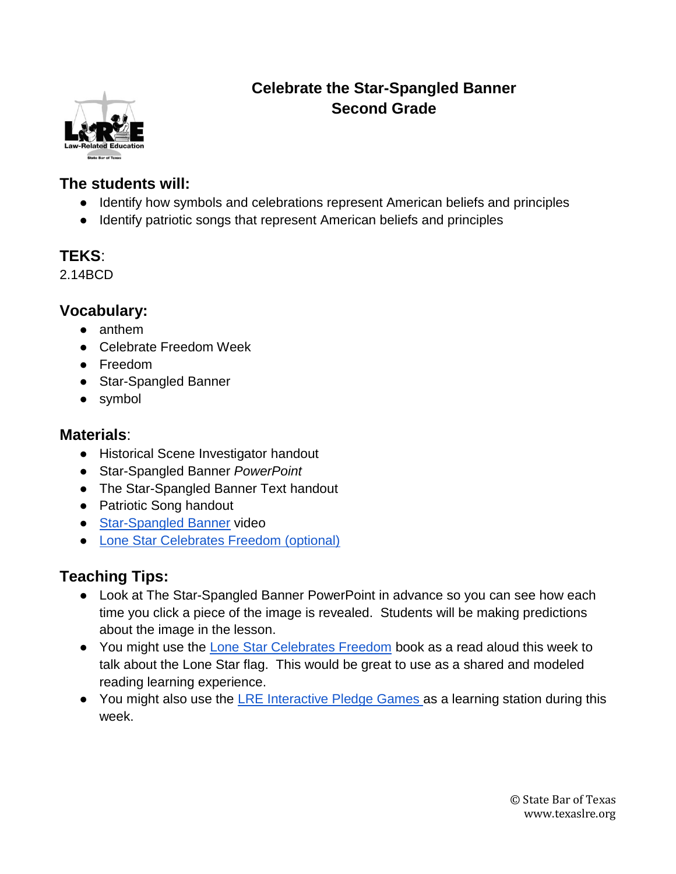

# **Celebrate the Star-Spangled Banner Second Grade**

#### **The students will:**

- Identify how symbols and celebrations represent American beliefs and principles
- Identify patriotic songs that represent American beliefs and principles

### **TEKS**:

2.14BCD

#### **Vocabulary:**

- anthem
- Celebrate Freedom Week
- Freedom
- Star-Spangled Banner
- symbol

### **Materials**:

- Historical Scene Investigator handout
- Star-Spangled Banner *PowerPoint*
- The Star-Spangled Banner Text handout
- Patriotic Song handout
- [Star-Spangled Banner](http://viewpure.com/vPKp29Luryc?start=0&end=0) video
- [Lone Star Celebrates Freedom \(optional\)](https://www.texasbar.com/media/epub/lonestarcelebrates/mobile/index.html#p=1)

# **Teaching Tips:**

- Look at The Star-Spangled Banner PowerPoint in advance so you can see how each time you click a piece of the image is revealed. Students will be making predictions about the image in the lesson.
- You might use the [Lone Star Celebrates Freedom](https://www.texasbar.com/media/epub/lonestarcelebrates/mobile/index.html#p=1) book as a read aloud this week to talk about the Lone Star flag. This would be great to use as a shared and modeled reading learning experience.
- You might also use the [LRE Interactive Pledge Games a](https://www.texaslre.org/games/)s a learning station during this week.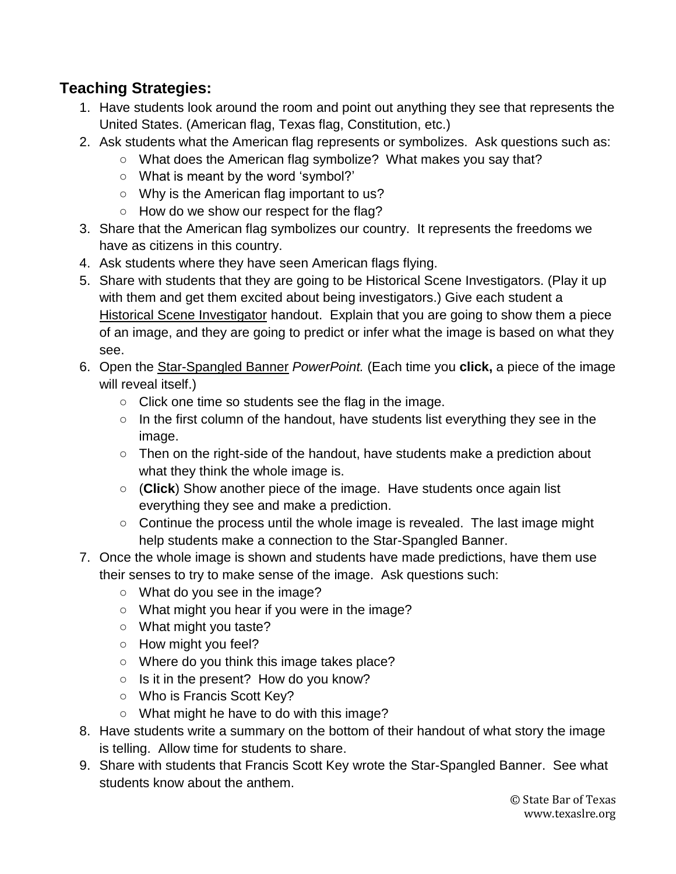### **Teaching Strategies:**

- 1. Have students look around the room and point out anything they see that represents the United States. (American flag, Texas flag, Constitution, etc.)
- 2. Ask students what the American flag represents or symbolizes. Ask questions such as:
	- What does the American flag symbolize? What makes you say that?
	- What is meant by the word 'symbol?'
	- Why is the American flag important to us?
	- How do we show our respect for the flag?
- 3. Share that the American flag symbolizes our country. It represents the freedoms we have as citizens in this country.
- 4. Ask students where they have seen American flags flying.
- 5. Share with students that they are going to be Historical Scene Investigators. (Play it up with them and get them excited about being investigators.) Give each student a Historical Scene Investigator handout. Explain that you are going to show them a piece of an image, and they are going to predict or infer what the image is based on what they see.
- 6. Open the Star-Spangled Banner *PowerPoint.* (Each time you **click,** a piece of the image will reveal itself.)
	- Click one time so students see the flag in the image.
	- In the first column of the handout, have students list everything they see in the image.
	- Then on the right-side of the handout, have students make a prediction about what they think the whole image is.
	- (**Click**) Show another piece of the image. Have students once again list everything they see and make a prediction.
	- Continue the process until the whole image is revealed. The last image might help students make a connection to the Star-Spangled Banner.
- 7. Once the whole image is shown and students have made predictions, have them use their senses to try to make sense of the image. Ask questions such:
	- What do you see in the image?
	- What might you hear if you were in the image?
	- What might you taste?
	- How might you feel?
	- Where do you think this image takes place?
	- $\circ$  Is it in the present? How do you know?
	- Who is Francis Scott Key?
	- What might he have to do with this image?
- 8. Have students write a summary on the bottom of their handout of what story the image is telling. Allow time for students to share.
- 9. Share with students that Francis Scott Key wrote the Star-Spangled Banner. See what students know about the anthem.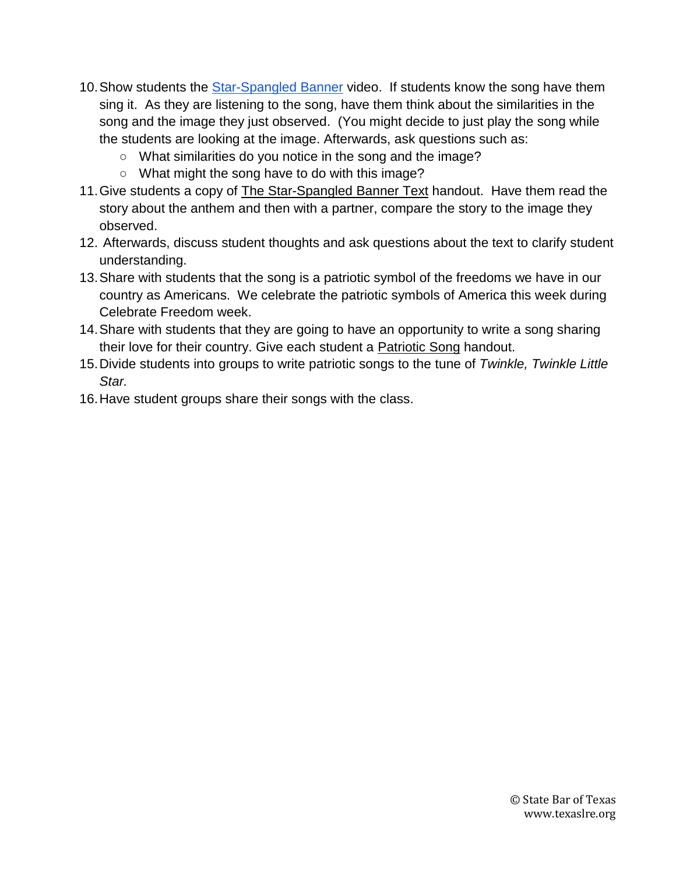- 10.Show students the [Star-Spangled Banner](http://viewpure.com/vPKp29Luryc?start=0&end=0) video. If students know the song have them sing it. As they are listening to the song, have them think about the similarities in the song and the image they just observed. (You might decide to just play the song while the students are looking at the image. Afterwards, ask questions such as:
	- What similarities do you notice in the song and the image?
	- What might the song have to do with this image?
- 11. Give students a copy of The Star-Spangled Banner Text handout. Have them read the story about the anthem and then with a partner, compare the story to the image they observed.
- 12. Afterwards, discuss student thoughts and ask questions about the text to clarify student understanding.
- 13.Share with students that the song is a patriotic symbol of the freedoms we have in our country as Americans. We celebrate the patriotic symbols of America this week during Celebrate Freedom week.
- 14.Share with students that they are going to have an opportunity to write a song sharing their love for their country. Give each student a Patriotic Song handout.
- 15.Divide students into groups to write patriotic songs to the tune of *Twinkle, Twinkle Little Star.*
- 16.Have student groups share their songs with the class.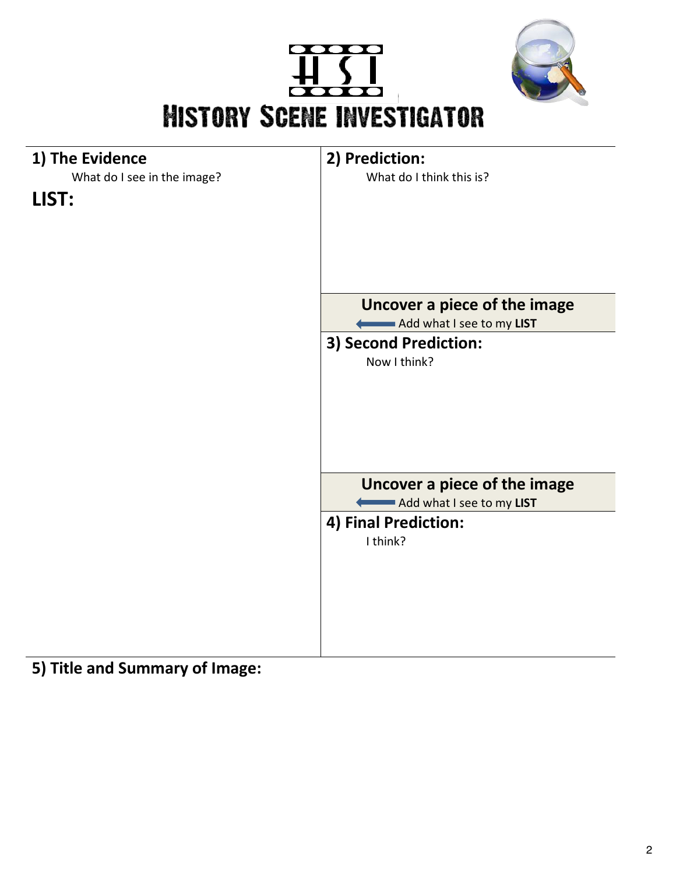





**5) Title and Summary of Image:**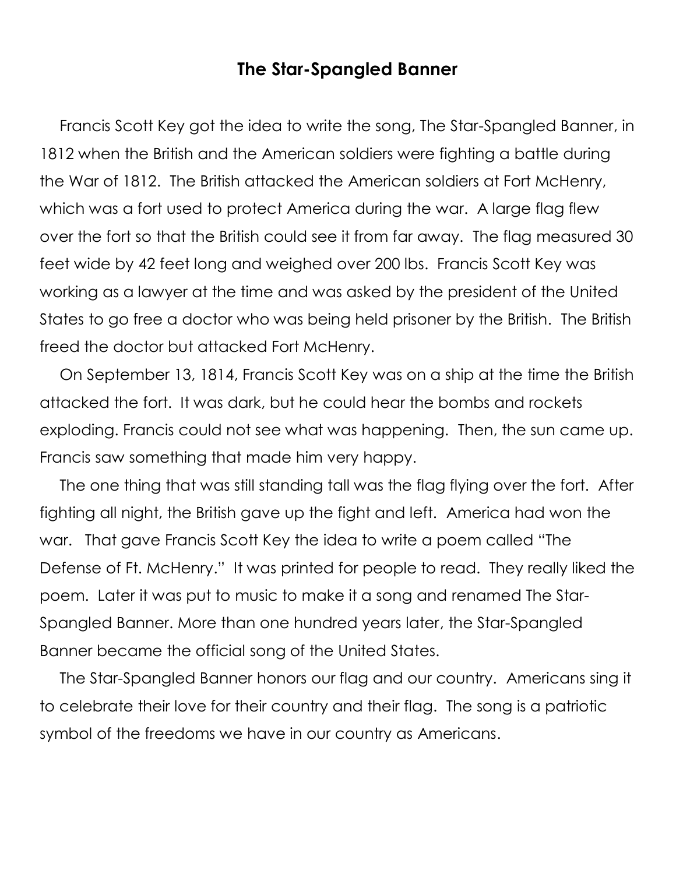# **The Star-Spangled Banner**

Francis Scott Key got the idea to write the song, The Star-Spangled Banner, in 1812 when the British and the American soldiers were fighting a battle during the War of 1812. The British attacked the American soldiers at Fort McHenry, which was a fort used to protect America during the war. A large flag flew over the fort so that the British could see it from far away. The flag measured 30 feet wide by 42 feet long and weighed over 200 lbs. Francis Scott Key was working as a lawyer at the time and was asked by the president of the United States to go free a doctor who was being held prisoner by the British. The British freed the doctor but attacked Fort McHenry.

On September 13, 1814, Francis Scott Key was on a ship at the time the British attacked the fort. It was dark, but he could hear the bombs and rockets exploding. Francis could not see what was happening. Then, the sun came up. Francis saw something that made him very happy.

The one thing that was still standing tall was the flag flying over the fort. After fighting all night, the British gave up the fight and left. America had won the war. That gave Francis Scott Key the idea to write a poem called "The Defense of Ft. McHenry." It was printed for people to read. They really liked the poem. Later it was put to music to make it a song and renamed The Star-Spangled Banner. More than one hundred years later, the Star-Spangled Banner became the official song of the United States.

The Star-Spangled Banner honors our flag and our country. Americans sing it to celebrate their love for their country and their flag. The song is a patriotic symbol of the freedoms we have in our country as Americans.